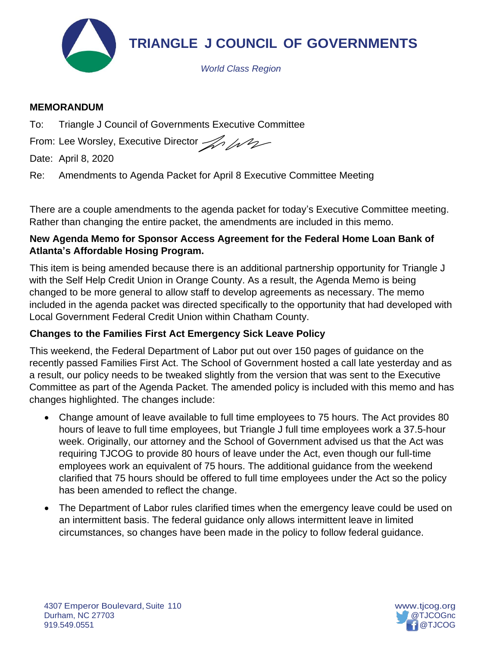

## **MEMORANDUM**

To: Triangle J Council of Governments Executive Committee

From: Lee Worsley, Executive Director And

Date: April 8, 2020

Re: Amendments to Agenda Packet for April 8 Executive Committee Meeting

There are a couple amendments to the agenda packet for today's Executive Committee meeting. Rather than changing the entire packet, the amendments are included in this memo.

# **New Agenda Memo for Sponsor Access Agreement for the Federal Home Loan Bank of Atlanta's Affordable Hosing Program.**

This item is being amended because there is an additional partnership opportunity for Triangle J with the Self Help Credit Union in Orange County. As a result, the Agenda Memo is being changed to be more general to allow staff to develop agreements as necessary. The memo included in the agenda packet was directed specifically to the opportunity that had developed with Local Government Federal Credit Union within Chatham County.

# **Changes to the Families First Act Emergency Sick Leave Policy**

This weekend, the Federal Department of Labor put out over 150 pages of guidance on the recently passed Families First Act. The School of Government hosted a call late yesterday and as a result, our policy needs to be tweaked slightly from the version that was sent to the Executive Committee as part of the Agenda Packet. The amended policy is included with this memo and has changes highlighted. The changes include:

- Change amount of leave available to full time employees to 75 hours. The Act provides 80 hours of leave to full time employees, but Triangle J full time employees work a 37.5-hour week. Originally, our attorney and the School of Government advised us that the Act was requiring TJCOG to provide 80 hours of leave under the Act, even though our full-time employees work an equivalent of 75 hours. The additional guidance from the weekend clarified that 75 hours should be offered to full time employees under the Act so the policy has been amended to reflect the change.
- The Department of Labor rules clarified times when the emergency leave could be used on an intermittent basis. The federal guidance only allows intermittent leave in limited circumstances, so changes have been made in the policy to follow federal guidance.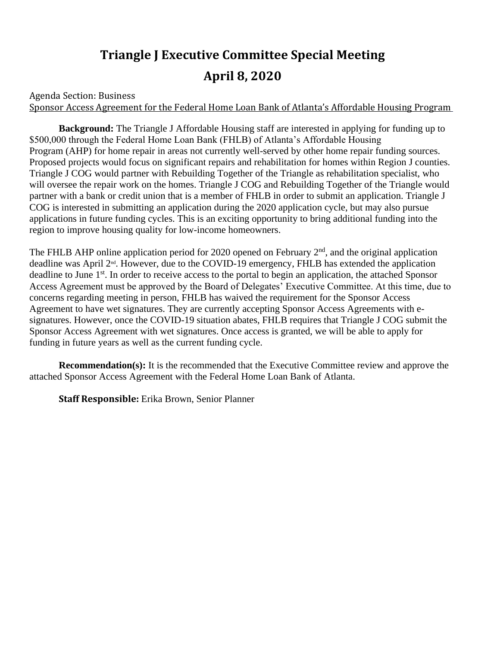# **Triangle J Executive Committee Special Meeting April 8, 2020**

Agenda Section: Business Sponsor Access Agreement for the Federal Home Loan Bank of Atlanta's Affordable Housing Program

**Background:** The Triangle J Affordable Housing staff are interested in applying for funding up to \$500,000 through the Federal Home Loan Bank (FHLB) of Atlanta's Affordable Housing Program (AHP) for home repair in areas not currently well-served by other home repair funding sources. Proposed projects would focus on significant repairs and rehabilitation for homes within Region J counties. Triangle J COG would partner with Rebuilding Together of the Triangle as rehabilitation specialist, who will oversee the repair work on the homes. Triangle J COG and Rebuilding Together of the Triangle would partner with a bank or credit union that is a member of FHLB in order to submit an application. Triangle J COG is interested in submitting an application during the 2020 application cycle, but may also pursue applications in future funding cycles. This is an exciting opportunity to bring additional funding into the region to improve housing quality for low-income homeowners.

The FHLB AHP online application period for 2020 opened on February  $2<sup>nd</sup>$ , and the original application deadline was April 2nd. However, due to the COVID-19 emergency, FHLB has extended the application deadline to June 1<sup>st</sup>. In order to receive access to the portal to begin an application, the attached Sponsor Access Agreement must be approved by the Board of Delegates' Executive Committee. At this time, due to concerns regarding meeting in person, FHLB has waived the requirement for the Sponsor Access Agreement to have wet signatures. They are currently accepting Sponsor Access Agreements with esignatures. However, once the COVID-19 situation abates, FHLB requires that Triangle J COG submit the Sponsor Access Agreement with wet signatures. Once access is granted, we will be able to apply for funding in future years as well as the current funding cycle.

**Recommendation(s):** It is the recommended that the Executive Committee review and approve the attached Sponsor Access Agreement with the Federal Home Loan Bank of Atlanta.

**Staff Responsible:** Erika Brown, Senior Planner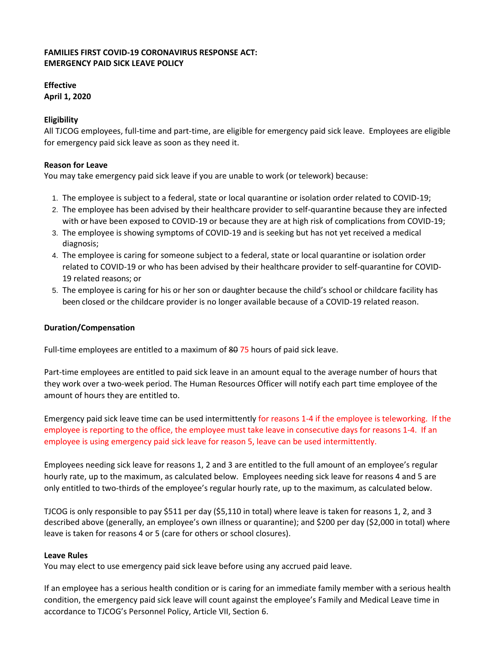## **FAMILIES FIRST COVID-19 CORONAVIRUS RESPONSE ACT: EMERGENCY PAID SICK LEAVE POLICY**

## **Effective April 1, 2020**

### **Eligibility**

All TJCOG employees, full-time and part-time, are eligible for emergency paid sick leave. Employees are eligible for emergency paid sick leave as soon as they need it.

#### **Reason for Leave**

You may take emergency paid sick leave if you are unable to work (or telework) because:

- 1. The employee is subject to a federal, state or local quarantine or isolation order related to COVID-19;
- 2. The employee has been advised by their healthcare provider to self-quarantine because they are infected with or have been exposed to COVID-19 or because they are at high risk of complications from COVID-19;
- 3. The employee is showing symptoms of COVID-19 and is seeking but has not yet received a medical diagnosis;
- 4. The employee is caring for someone subject to a federal, state or local quarantine or isolation order related to COVID-19 or who has been advised by their healthcare provider to self-quarantine for COVID-19 related reasons; or
- 5. The employee is caring for his or her son or daughter because the child's school or childcare facility has been closed or the childcare provider is no longer available because of a COVID-19 related reason.

#### **Duration/Compensation**

Full-time employees are entitled to a maximum of 8075 hours of paid sick leave.

Part-time employees are entitled to paid sick leave in an amount equal to the average number of hours that they work over a two-week period. The Human Resources Officer will notify each part time employee of the amount of hours they are entitled to.

Emergency paid sick leave time can be used intermittently for reasons 1-4 if the employee is teleworking. If the employee is reporting to the office, the employee must take leave in consecutive days for reasons 1-4. If an employee is using emergency paid sick leave for reason 5, leave can be used intermittently.

Employees needing sick leave for reasons 1, 2 and 3 are entitled to the full amount of an employee's regular hourly rate, up to the maximum, as calculated below. Employees needing sick leave for reasons 4 and 5 are only entitled to two-thirds of the employee's regular hourly rate, up to the maximum, as calculated below.

TJCOG is only responsible to pay \$511 per day (\$5,110 in total) where leave is taken for reasons 1, 2, and 3 described above (generally, an employee's own illness or quarantine); and \$200 per day (\$2,000 in total) where leave is taken for reasons 4 or 5 (care for others or school closures).

#### **Leave Rules**

You may elect to use emergency paid sick leave before using any accrued paid leave.

If an employee has a serious health condition or is caring for an immediate family member with a serious health condition, the emergency paid sick leave will count against the employee's Family and Medical Leave time in accordance to TJCOG's Personnel Policy, Article VII, Section 6.